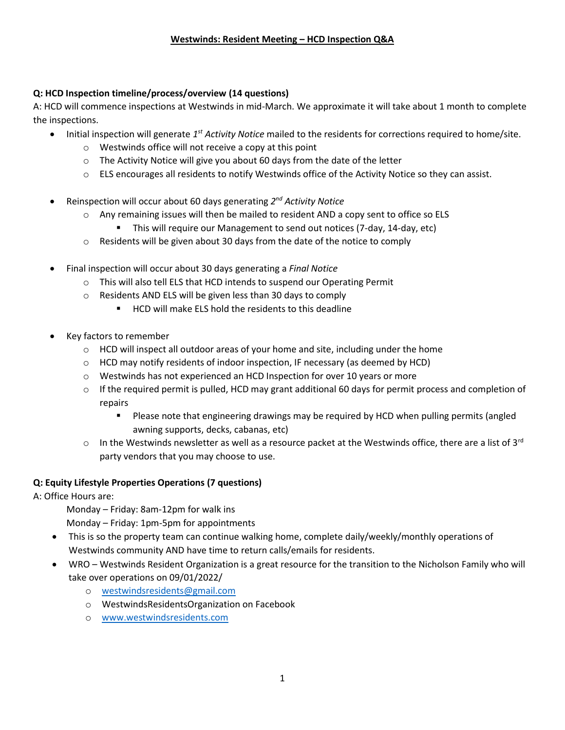## **Q: HCD Inspection timeline/process/overview (14 questions)**

A: HCD will commence inspections at Westwinds in mid-March. We approximate it will take about 1 month to complete the inspections.

- Initial inspection will generate 1<sup>st</sup> Activity Notice mailed to the residents for corrections required to home/site.
	- o Westwinds office will not receive a copy at this point
	- o The Activity Notice will give you about 60 days from the date of the letter
	- $\circ$  ELS encourages all residents to notify Westwinds office of the Activity Notice so they can assist.
- **•** Reinspection will occur about 60 days generating 2<sup>nd</sup> Activity Notice
	- $\circ$  Any remaining issues will then be mailed to resident AND a copy sent to office so ELS
		- This will require our Management to send out notices (7-day, 14-day, etc)
	- o Residents will be given about 30 days from the date of the notice to comply
- Final inspection will occur about 30 days generating a *Final Notice*
	- o This will also tell ELS that HCD intends to suspend our Operating Permit
	- o Residents AND ELS will be given less than 30 days to comply
		- HCD will make ELS hold the residents to this deadline
- Key factors to remember
	- $\circ$  HCD will inspect all outdoor areas of your home and site, including under the home
	- $\circ$  HCD may notify residents of indoor inspection, IF necessary (as deemed by HCD)
	- o Westwinds has not experienced an HCD Inspection for over 10 years or more
	- $\circ$  If the required permit is pulled, HCD may grant additional 60 days for permit process and completion of repairs
		- Please note that engineering drawings may be required by HCD when pulling permits (angled awning supports, decks, cabanas, etc)
	- $\circ$  In the Westwinds newsletter as well as a resource packet at the Westwinds office, there are a list of 3<sup>rd</sup> party vendors that you may choose to use.

### **Q: Equity Lifestyle Properties Operations (7 questions)**

A: Office Hours are:

- Monday Friday: 8am-12pm for walk ins
- Monday Friday: 1pm-5pm for appointments
- This is so the property team can continue walking home, complete daily/weekly/monthly operations of Westwinds community AND have time to return calls/emails for residents.
- WRO Westwinds Resident Organization is a great resource for the transition to the Nicholson Family who will take over operations on 09/01/2022/
	- o [westwindsresidents@gmail.com](mailto:westwindsresidents@gmail.com)
	- o WestwindsResidentsOrganization on Facebook
	- o [www.westwindsresidents.com](http://www.westwindsresidents.com/)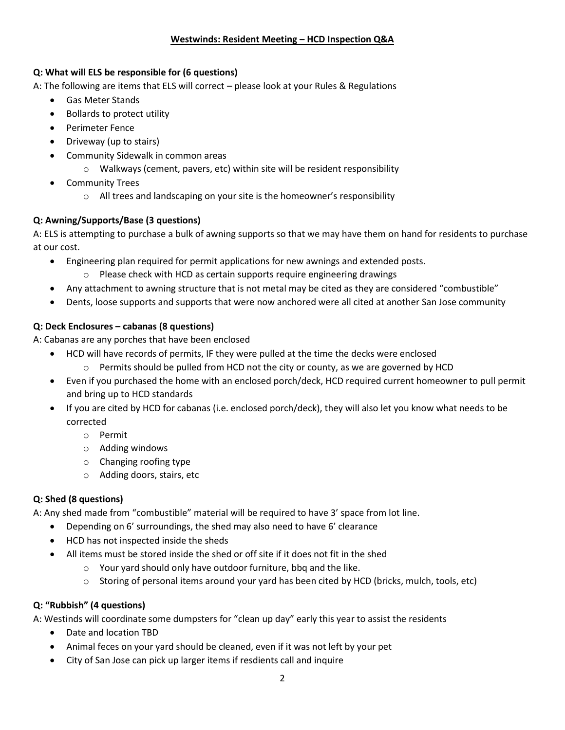### **Westwinds: Resident Meeting – HCD Inspection Q&A**

#### **Q: What will ELS be responsible for (6 questions)**

A: The following are items that ELS will correct – please look at your Rules & Regulations

- Gas Meter Stands
- Bollards to protect utility
- Perimeter Fence
- Driveway (up to stairs)
- Community Sidewalk in common areas
	- o Walkways (cement, pavers, etc) within site will be resident responsibility
- Community Trees
	- o All trees and landscaping on your site is the homeowner's responsibility

## **Q: Awning/Supports/Base (3 questions)**

A: ELS is attempting to purchase a bulk of awning supports so that we may have them on hand for residents to purchase at our cost.

- Engineering plan required for permit applications for new awnings and extended posts.
	- o Please check with HCD as certain supports require engineering drawings
- Any attachment to awning structure that is not metal may be cited as they are considered "combustible"
- Dents, loose supports and supports that were now anchored were all cited at another San Jose community

## **Q: Deck Enclosures – cabanas (8 questions)**

A: Cabanas are any porches that have been enclosed

- HCD will have records of permits, IF they were pulled at the time the decks were enclosed
	- $\circ$  Permits should be pulled from HCD not the city or county, as we are governed by HCD
- Even if you purchased the home with an enclosed porch/deck, HCD required current homeowner to pull permit and bring up to HCD standards
- If you are cited by HCD for cabanas (i.e. enclosed porch/deck), they will also let you know what needs to be corrected
	- o Permit
	- o Adding windows
	- o Changing roofing type
	- o Adding doors, stairs, etc

### **Q: Shed (8 questions)**

A: Any shed made from "combustible" material will be required to have 3' space from lot line.

- Depending on 6' surroundings, the shed may also need to have 6' clearance
- HCD has not inspected inside the sheds
- All items must be stored inside the shed or off site if it does not fit in the shed
	- o Your yard should only have outdoor furniture, bbq and the like.
	- $\circ$  Storing of personal items around your yard has been cited by HCD (bricks, mulch, tools, etc)

# **Q: "Rubbish" (4 questions)**

A: Westinds will coordinate some dumpsters for "clean up day" early this year to assist the residents

- Date and location TBD
- Animal feces on your yard should be cleaned, even if it was not left by your pet
- City of San Jose can pick up larger items if resdients call and inquire